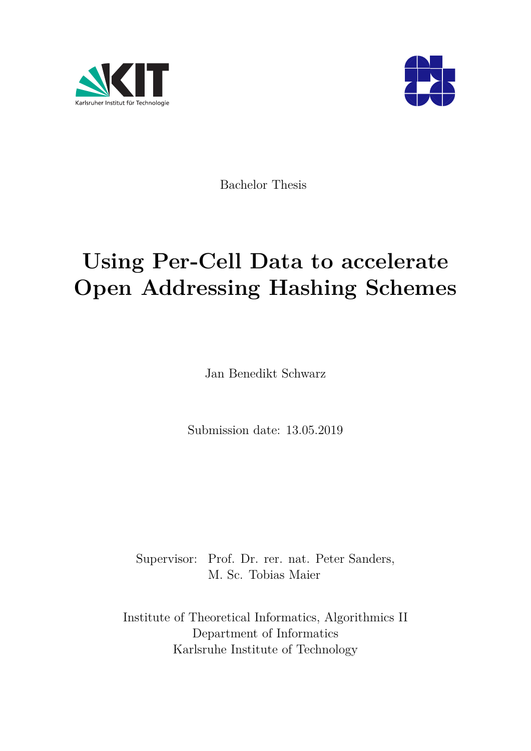



Bachelor Thesis

# **Using Per-Cell Data to accelerate Open Addressing Hashing Schemes**

Jan Benedikt Schwarz

Submission date: 13.05.2019

Supervisor: Prof. Dr. rer. nat. Peter Sanders, M. Sc. Tobias Maier

Institute of Theoretical Informatics, Algorithmics II Department of Informatics Karlsruhe Institute of Technology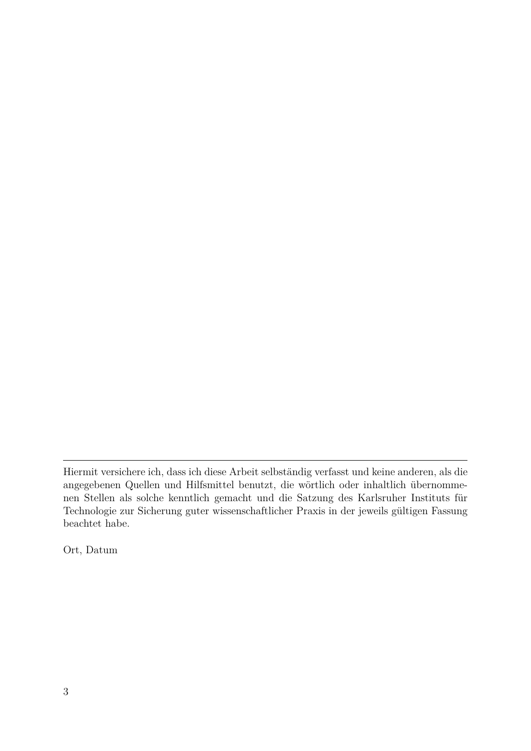Ort, Datum

Hiermit versichere ich, dass ich diese Arbeit selbständig verfasst und keine anderen, als die angegebenen Quellen und Hilfsmittel benutzt, die wörtlich oder inhaltlich übernommenen Stellen als solche kenntlich gemacht und die Satzung des Karlsruher Instituts für Technologie zur Sicherung guter wissenschaftlicher Praxis in der jeweils gültigen Fassung beachtet habe.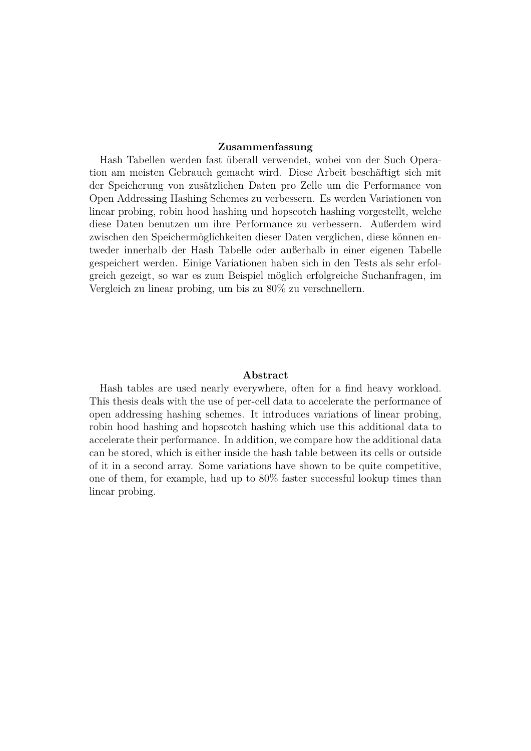#### **Zusammenfassung**

Hash Tabellen werden fast überall verwendet, wobei von der Such Operation am meisten Gebrauch gemacht wird. Diese Arbeit beschäftigt sich mit der Speicherung von zusätzlichen Daten pro Zelle um die Performance von Open Addressing Hashing Schemes zu verbessern. Es werden Variationen von linear probing, robin hood hashing und hopscotch hashing vorgestellt, welche diese Daten benutzen um ihre Performance zu verbessern. Außerdem wird zwischen den Speichermöglichkeiten dieser Daten verglichen, diese können entweder innerhalb der Hash Tabelle oder außerhalb in einer eigenen Tabelle gespeichert werden. Einige Variationen haben sich in den Tests als sehr erfolgreich gezeigt, so war es zum Beispiel möglich erfolgreiche Suchanfragen, im Vergleich zu linear probing, um bis zu 80% zu verschnellern.

#### **Abstract**

Hash tables are used nearly everywhere, often for a find heavy workload. This thesis deals with the use of per-cell data to accelerate the performance of open addressing hashing schemes. It introduces variations of linear probing, robin hood hashing and hopscotch hashing which use this additional data to accelerate their performance. In addition, we compare how the additional data can be stored, which is either inside the hash table between its cells or outside of it in a second array. Some variations have shown to be quite competitive, one of them, for example, had up to 80% faster successful lookup times than linear probing.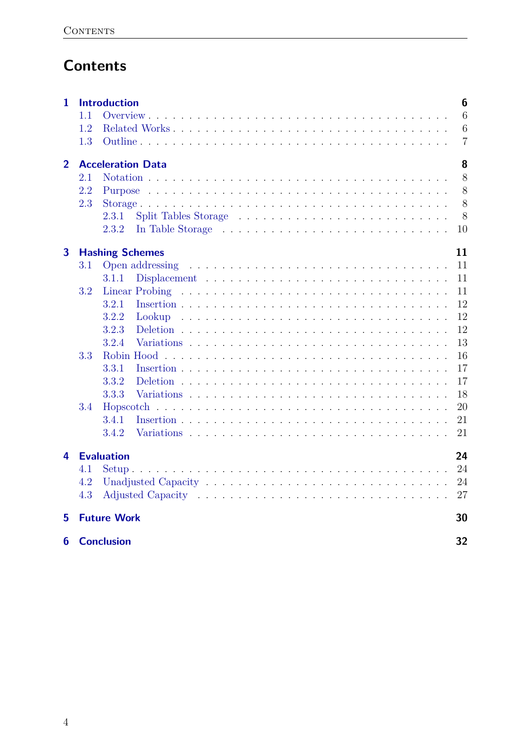# **Contents**

| 1                |     | <b>Introduction</b>      | 6              |
|------------------|-----|--------------------------|----------------|
|                  | 1.1 |                          | 6              |
|                  | 1.2 |                          | 6              |
|                  | 1.3 |                          | $\overline{7}$ |
| $\overline{2}$   |     | <b>Acceleration Data</b> | 8              |
|                  | 2.1 |                          | 8              |
|                  | 2.2 |                          | 8              |
|                  | 2.3 |                          | 8              |
|                  |     | 2.3.1                    | 8              |
|                  |     | 2.3.2                    | 10             |
| 3                |     | <b>Hashing Schemes</b>   | 11             |
|                  | 3.1 | Open addressing          | 11             |
|                  |     | 3.1.1                    | 11             |
|                  | 3.2 |                          | 11             |
|                  |     | 3.2.1                    | 12             |
|                  |     | 3.2.2<br>Lookup          | 12             |
|                  |     | 3.2.3                    | 12             |
|                  |     | 3.2.4                    | 13             |
|                  | 3.3 |                          | 16             |
|                  |     | 3.3.1                    | 17             |
|                  |     | 3.3.2                    | 17             |
|                  |     | 3.3.3                    | 18             |
|                  | 3.4 | Hopscotch                | 20             |
|                  |     | 3.4.1                    | 21             |
|                  |     | 3.4.2                    | 21             |
| 4                |     | <b>Evaluation</b>        | 24             |
|                  | 4.1 |                          | 24             |
|                  | 4.2 |                          | 24             |
|                  | 4.3 |                          | 27             |
| 5                |     | <b>Future Work</b>       | 30             |
| $\boldsymbol{6}$ |     | <b>Conclusion</b>        | 32             |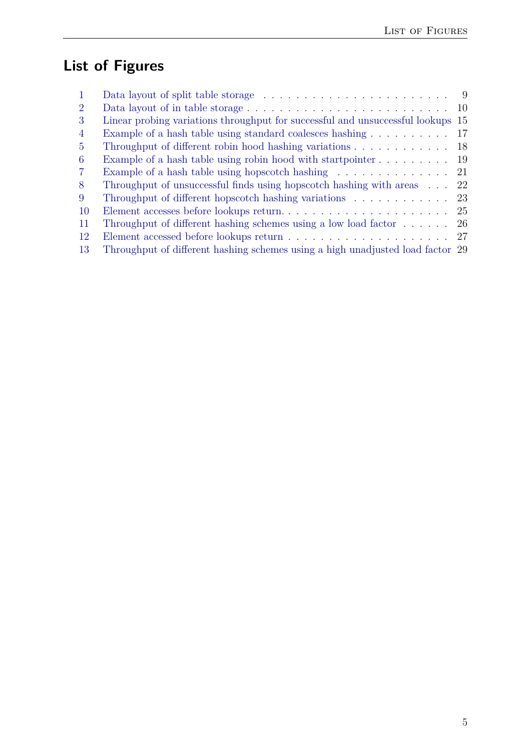# **List of Figures**

| $\mathbf{1}$   | Data layout of split table storage $\dots \dots \dots \dots \dots \dots \dots \dots \dots$ | - 9 |
|----------------|--------------------------------------------------------------------------------------------|-----|
| $\overline{2}$ |                                                                                            | 10  |
| 3              | Linear probing variations throughput for successful and unsuccessful lookups 15            |     |
| 4              | Example of a hash table using standard coalesces hashing                                   | 17  |
| 5              | Throughput of different robin hood hashing variations                                      | -18 |
| 6              | Example of a hash table using robin hood with startpointer 19                              |     |
| $\overline{7}$ | Example of a hash table using hopscotch hashing $\dots \dots \dots \dots \dots$ 21         |     |
| 8              | Throughput of unsuccessful finds using hopscotch hashing with areas                        | 22  |
| 9              | Throughput of different hopscotch hashing variations 23                                    |     |
| 10             |                                                                                            |     |
| 11             | Throughput of different hashing schemes using a low load factor $\dots \dots$ 26           |     |
| 12             |                                                                                            |     |
| 13             | Throughput of different hashing schemes using a high unadjusted load factor 29             |     |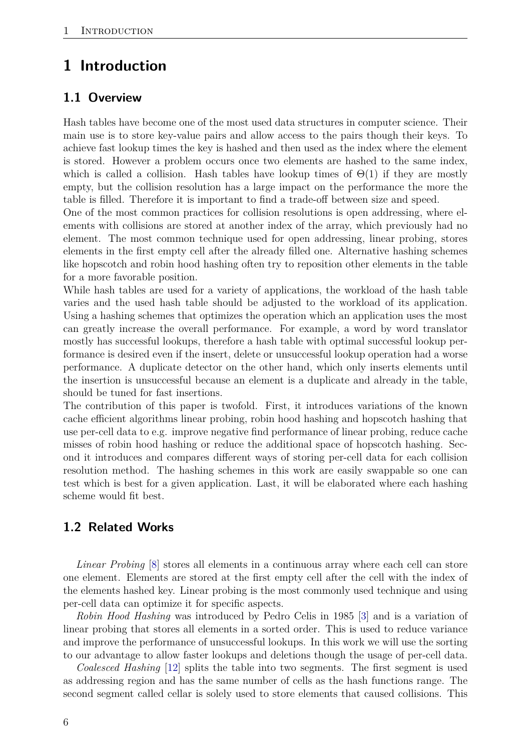## <span id="page-5-0"></span>**1 Introduction**

#### <span id="page-5-1"></span>**1.1 Overview**

Hash tables have become one of the most used data structures in computer science. Their main use is to store key-value pairs and allow access to the pairs though their keys. To achieve fast lookup times the key is hashed and then used as the index where the element is stored. However a problem occurs once two elements are hashed to the same index, which is called a collision. Hash tables have lookup times of  $\Theta(1)$  if they are mostly empty, but the collision resolution has a large impact on the performance the more the table is filled. Therefore it is important to find a trade-off between size and speed.

One of the most common practices for collision resolutions is open addressing, where elements with collisions are stored at another index of the array, which previously had no element. The most common technique used for open addressing, linear probing, stores elements in the first empty cell after the already filled one. Alternative hashing schemes like hopscotch and robin hood hashing often try to reposition other elements in the table for a more favorable position.

While hash tables are used for a variety of applications, the workload of the hash table varies and the used hash table should be adjusted to the workload of its application. Using a hashing schemes that optimizes the operation which an application uses the most can greatly increase the overall performance. For example, a word by word translator mostly has successful lookups, therefore a hash table with optimal successful lookup performance is desired even if the insert, delete or unsuccessful lookup operation had a worse performance. A duplicate detector on the other hand, which only inserts elements until the insertion is unsuccessful because an element is a duplicate and already in the table, should be tuned for fast insertions.

The contribution of this paper is twofold. First, it introduces variations of the known cache efficient algorithms linear probing, robin hood hashing and hopscotch hashing that use per-cell data to e.g. improve negative find performance of linear probing, reduce cache misses of robin hood hashing or reduce the additional space of hopscotch hashing. Second it introduces and compares different ways of storing per-cell data for each collision resolution method. The hashing schemes in this work are easily swappable so one can test which is best for a given application. Last, it will be elaborated where each hashing scheme would fit best.

#### <span id="page-5-2"></span>**1.2 Related Works**

*Linear Probing* [\[8\]](#page-32-0) stores all elements in a continuous array where each cell can store one element. Elements are stored at the first empty cell after the cell with the index of the elements hashed key. Linear probing is the most commonly used technique and using per-cell data can optimize it for specific aspects.

*Robin Hood Hashing* was introduced by Pedro Celis in 1985 [\[3\]](#page-32-1) and is a variation of linear probing that stores all elements in a sorted order. This is used to reduce variance and improve the performance of unsuccessful lookups. In this work we will use the sorting to our advantage to allow faster lookups and deletions though the usage of per-cell data.

*Coalesced Hashing* [\[12\]](#page-32-2) splits the table into two segments. The first segment is used as addressing region and has the same number of cells as the hash functions range. The second segment called cellar is solely used to store elements that caused collisions. This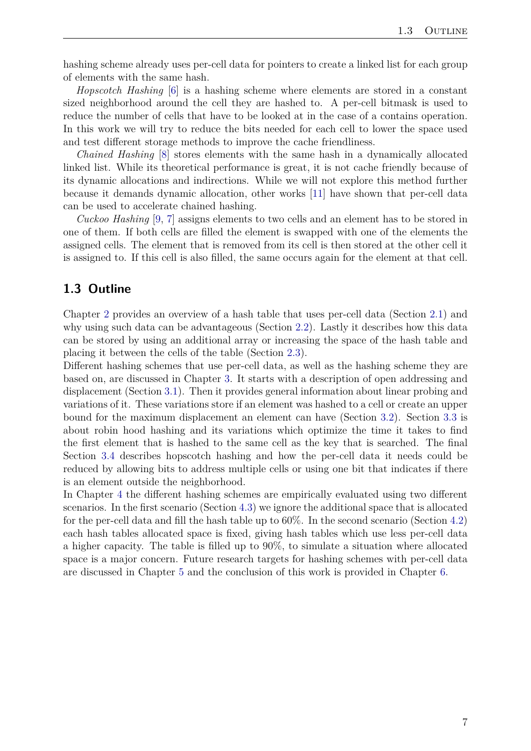hashing scheme already uses per-cell data for pointers to create a linked list for each group of elements with the same hash.

*Hopscotch Hashing* [\[6\]](#page-32-3) is a hashing scheme where elements are stored in a constant sized neighborhood around the cell they are hashed to. A per-cell bitmask is used to reduce the number of cells that have to be looked at in the case of a contains operation. In this work we will try to reduce the bits needed for each cell to lower the space used and test different storage methods to improve the cache friendliness.

*Chained Hashing* [\[8\]](#page-32-0) stores elements with the same hash in a dynamically allocated linked list. While its theoretical performance is great, it is not cache friendly because of its dynamic allocations and indirections. While we will not explore this method further because it demands dynamic allocation, other works [\[11\]](#page-32-4) have shown that per-cell data can be used to accelerate chained hashing.

*Cuckoo Hashing* [\[9,](#page-32-5) [7\]](#page-32-6) assigns elements to two cells and an element has to be stored in one of them. If both cells are filled the element is swapped with one of the elements the assigned cells. The element that is removed from its cell is then stored at the other cell it is assigned to. If this cell is also filled, the same occurs again for the element at that cell.

### <span id="page-6-0"></span>**1.3 Outline**

Chapter [2](#page-7-0) provides an overview of a hash table that uses per-cell data (Section [2.1\)](#page-7-1) and why using such data can be advantageous (Section [2.2\)](#page-7-2). Lastly it describes how this data can be stored by using an additional array or increasing the space of the hash table and placing it between the cells of the table (Section [2.3\)](#page-7-3).

Different hashing schemes that use per-cell data, as well as the hashing scheme they are based on, are discussed in Chapter [3.](#page-10-0) It starts with a description of open addressing and displacement (Section [3.1\)](#page-10-1). Then it provides general information about linear probing and variations of it. These variations store if an element was hashed to a cell or create an upper bound for the maximum displacement an element can have (Section [3.2\)](#page-10-3). Section [3.3](#page-15-0) is about robin hood hashing and its variations which optimize the time it takes to find the first element that is hashed to the same cell as the key that is searched. The final Section [3.4](#page-19-0) describes hopscotch hashing and how the per-cell data it needs could be reduced by allowing bits to address multiple cells or using one bit that indicates if there is an element outside the neighborhood.

In Chapter [4](#page-23-0) the different hashing schemes are empirically evaluated using two different scenarios. In the first scenario (Section [4.3\)](#page-26-0) we ignore the additional space that is allocated for the per-cell data and fill the hash table up to 60%. In the second scenario (Section [4.2\)](#page-23-2) each hash tables allocated space is fixed, giving hash tables which use less per-cell data a higher capacity. The table is filled up to 90%, to simulate a situation where allocated space is a major concern. Future research targets for hashing schemes with per-cell data are discussed in Chapter [5](#page-29-0) and the conclusion of this work is provided in Chapter [6.](#page-31-0)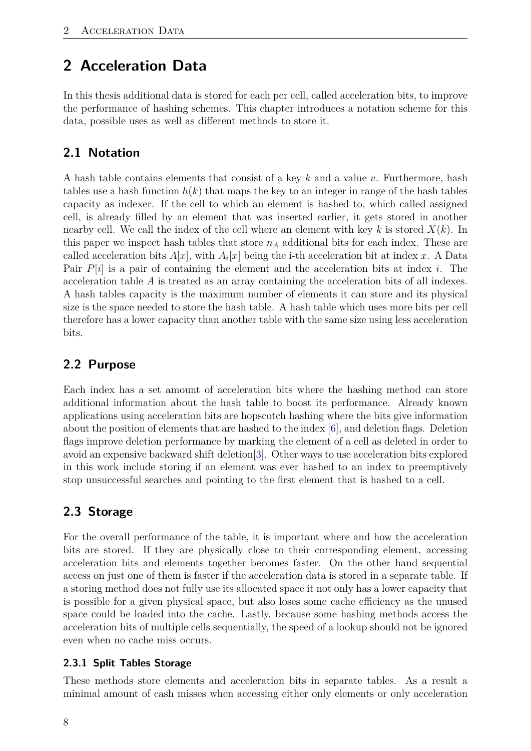# <span id="page-7-0"></span>**2 Acceleration Data**

In this thesis additional data is stored for each per cell, called acceleration bits, to improve the performance of hashing schemes. This chapter introduces a notation scheme for this data, possible uses as well as different methods to store it.

## <span id="page-7-1"></span>**2.1 Notation**

A hash table contains elements that consist of a key *k* and a value *v*. Furthermore, hash tables use a hash function  $h(k)$  that maps the key to an integer in range of the hash tables capacity as indexer. If the cell to which an element is hashed to, which called assigned cell, is already filled by an element that was inserted earlier, it gets stored in another nearby cell. We call the index of the cell where an element with key *k* is stored *X*(*k*). In this paper we inspect hash tables that store  $n_A$  additional bits for each index. These are called acceleration bits  $A[x]$ , with  $A_i[x]$  being the i-th acceleration bit at index x. A Data Pair *P*[*i*] is a pair of containing the element and the acceleration bits at index *i*. The acceleration table *A* is treated as an array containing the acceleration bits of all indexes. A hash tables capacity is the maximum number of elements it can store and its physical size is the space needed to store the hash table. A hash table which uses more bits per cell therefore has a lower capacity than another table with the same size using less acceleration bits.

## <span id="page-7-2"></span>**2.2 Purpose**

Each index has a set amount of acceleration bits where the hashing method can store additional information about the hash table to boost its performance. Already known applications using acceleration bits are hopscotch hashing where the bits give information about the position of elements that are hashed to the index [\[6\]](#page-32-3), and deletion flags. Deletion flags improve deletion performance by marking the element of a cell as deleted in order to avoid an expensive backward shift deletion[\[3\]](#page-32-1). Other ways to use acceleration bits explored in this work include storing if an element was ever hashed to an index to preemptively stop unsuccessful searches and pointing to the first element that is hashed to a cell.

## <span id="page-7-3"></span>**2.3 Storage**

For the overall performance of the table, it is important where and how the acceleration bits are stored. If they are physically close to their corresponding element, accessing acceleration bits and elements together becomes faster. On the other hand sequential access on just one of them is faster if the acceleration data is stored in a separate table. If a storing method does not fully use its allocated space it not only has a lower capacity that is possible for a given physical space, but also loses some cache efficiency as the unused space could be loaded into the cache. Lastly, because some hashing methods access the acceleration bits of multiple cells sequentially, the speed of a lookup should not be ignored even when no cache miss occurs.

## <span id="page-7-4"></span>**2.3.1 Split Tables Storage**

These methods store elements and acceleration bits in separate tables. As a result a minimal amount of cash misses when accessing either only elements or only acceleration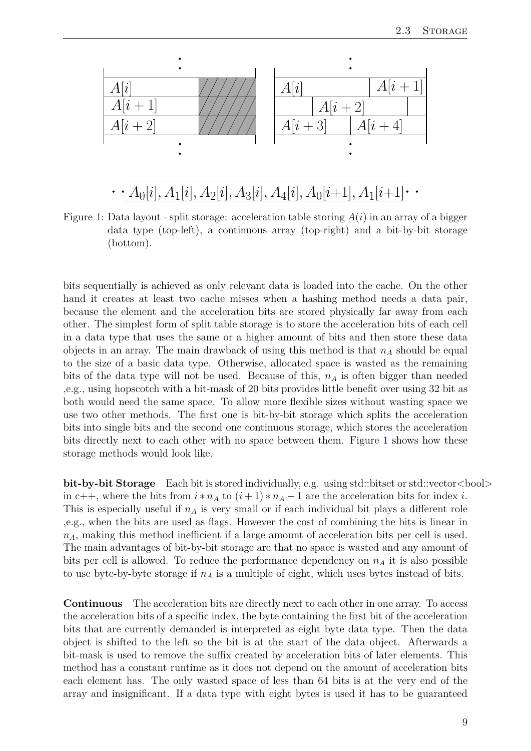

<span id="page-8-0"></span>Figure 1: Data layout - split storage: acceleration table storing *A*(*i*) in an array of a bigger data type (top-left), a continuous array (top-right) and a bit-by-bit storage (bottom).

bits sequentially is achieved as only relevant data is loaded into the cache. On the other hand it creates at least two cache misses when a hashing method needs a data pair, because the element and the acceleration bits are stored physically far away from each other. The simplest form of split table storage is to store the acceleration bits of each cell in a data type that uses the same or a higher amount of bits and then store these data objects in an array. The main drawback of using this method is that  $n_A$  should be equal to the size of a basic data type. Otherwise, allocated space is wasted as the remaining bits of the data type will not be used. Because of this,  $n_A$  is often bigger than needed ,e.g., using hopscotch with a bit-mask of 20 bits provides little benefit over using 32 bit as both would need the same space. To allow more flexible sizes without wasting space we use two other methods. The first one is bit-by-bit storage which splits the acceleration bits into single bits and the second one continuous storage, which stores the acceleration bits directly next to each other with no space between them. Figure [1](#page-8-0) shows how these storage methods would look like.

**bit-by-bit Storage** Each bit is stored individually, e.g. using std::bitset or std::vector<br/>bool> in c++, where the bits from  $i * n_A$  to  $(i+1) * n_A - 1$  are the acceleration bits for index *i*. This is especially useful if *n<sup>A</sup>* is very small or if each individual bit plays a different role ,e.g., when the bits are used as flags. However the cost of combining the bits is linear in *nA*, making this method inefficient if a large amount of acceleration bits per cell is used. The main advantages of bit-by-bit storage are that no space is wasted and any amount of bits per cell is allowed. To reduce the performance dependency on  $n_A$  it is also possible to use byte-by-byte storage if *n<sup>A</sup>* is a multiple of eight, which uses bytes instead of bits.

**Continuous** The acceleration bits are directly next to each other in one array. To access the acceleration bits of a specific index, the byte containing the first bit of the acceleration bits that are currently demanded is interpreted as eight byte data type. Then the data object is shifted to the left so the bit is at the start of the data object. Afterwards a bit-mask is used to remove the suffix created by acceleration bits of later elements. This method has a constant runtime as it does not depend on the amount of acceleration bits each element has. The only wasted space of less than 64 bits is at the very end of the array and insignificant. If a data type with eight bytes is used it has to be guaranteed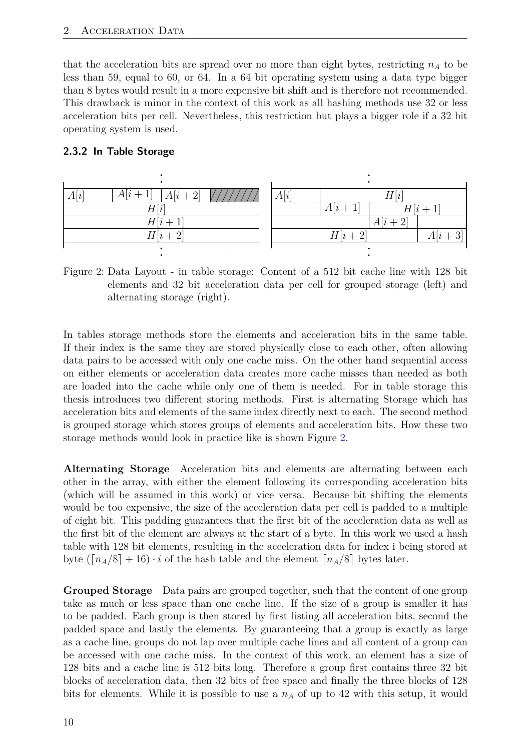that the acceleration bits are spread over no more than eight bytes, restricting  $n_A$  to be less than 59, equal to 60, or 64. In a 64 bit operating system using a data type bigger than 8 bytes would result in a more expensive bit shift and is therefore not recommended. This drawback is minor in the context of this work as all hashing methods use 32 or less acceleration bits per cell. Nevertheless, this restriction but plays a bigger role if a 32 bit operating system is used.

#### <span id="page-9-0"></span>**2.3.2 In Table Storage**

| A[i]<br>A[i]<br>ഥി<br>A i | A[i]<br>$H^{\mathfrak{f}}$ |  |
|---------------------------|----------------------------|--|
| H[i]                      | A i<br>H i                 |  |
| H[i]                      | A[i]                       |  |
| $H[i+2]$                  | H[i]                       |  |
|                           |                            |  |

<span id="page-9-1"></span>Figure 2: Data Layout - in table storage: Content of a 512 bit cache line with 128 bit elements and 32 bit acceleration data per cell for grouped storage (left) and alternating storage (right).

In tables storage methods store the elements and acceleration bits in the same table. If their index is the same they are stored physically close to each other, often allowing data pairs to be accessed with only one cache miss. On the other hand sequential access on either elements or acceleration data creates more cache misses than needed as both are loaded into the cache while only one of them is needed. For in table storage this thesis introduces two different storing methods. First is alternating Storage which has acceleration bits and elements of the same index directly next to each. The second method is grouped storage which stores groups of elements and acceleration bits. How these two storage methods would look in practice like is shown Figure [2.](#page-9-1)

**Alternating Storage** Acceleration bits and elements are alternating between each other in the array, with either the element following its corresponding acceleration bits (which will be assumed in this work) or vice versa. Because bit shifting the elements would be too expensive, the size of the acceleration data per cell is padded to a multiple of eight bit. This padding guarantees that the first bit of the acceleration data as well as the first bit of the element are always at the start of a byte. In this work we used a hash table with 128 bit elements, resulting in the acceleration data for index i being stored at byte  $(\lceil n_A/8 \rceil + 16) \cdot i$  of the hash table and the element  $\lceil n_A/8 \rceil$  bytes later.

**Grouped Storage** Data pairs are grouped together, such that the content of one group take as much or less space than one cache line. If the size of a group is smaller it has to be padded. Each group is then stored by first listing all acceleration bits, second the padded space and lastly the elements. By guaranteeing that a group is exactly as large as a cache line, groups do not lap over multiple cache lines and all content of a group can be accessed with one cache miss. In the context of this work, an element has a size of 128 bits and a cache line is 512 bits long. Therefore a group first contains three 32 bit blocks of acceleration data, then 32 bits of free space and finally the three blocks of 128 bits for elements. While it is possible to use a *n<sup>A</sup>* of up to 42 with this setup, it would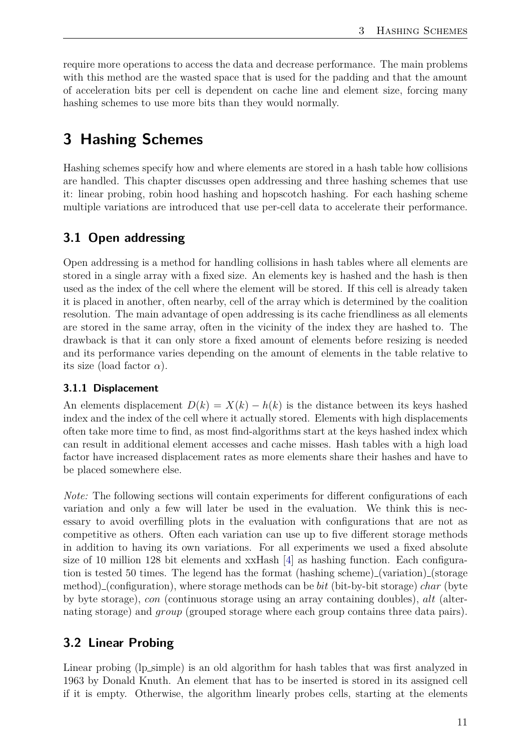require more operations to access the data and decrease performance. The main problems with this method are the wasted space that is used for the padding and that the amount of acceleration bits per cell is dependent on cache line and element size, forcing many hashing schemes to use more bits than they would normally.

## <span id="page-10-0"></span>**3 Hashing Schemes**

Hashing schemes specify how and where elements are stored in a hash table how collisions are handled. This chapter discusses open addressing and three hashing schemes that use it: linear probing, robin hood hashing and hopscotch hashing. For each hashing scheme multiple variations are introduced that use per-cell data to accelerate their performance.

## <span id="page-10-1"></span>**3.1 Open addressing**

Open addressing is a method for handling collisions in hash tables where all elements are stored in a single array with a fixed size. An elements key is hashed and the hash is then used as the index of the cell where the element will be stored. If this cell is already taken it is placed in another, often nearby, cell of the array which is determined by the coalition resolution. The main advantage of open addressing is its cache friendliness as all elements are stored in the same array, often in the vicinity of the index they are hashed to. The drawback is that it can only store a fixed amount of elements before resizing is needed and its performance varies depending on the amount of elements in the table relative to its size (load factor  $\alpha$ ).

#### <span id="page-10-2"></span>**3.1.1 Displacement**

An elements displacement  $D(k) = X(k) - h(k)$  is the distance between its keys hashed index and the index of the cell where it actually stored. Elements with high displacements often take more time to find, as most find-algorithms start at the keys hashed index which can result in additional element accesses and cache misses. Hash tables with a high load factor have increased displacement rates as more elements share their hashes and have to be placed somewhere else.

*Note:* The following sections will contain experiments for different configurations of each variation and only a few will later be used in the evaluation. We think this is necessary to avoid overfilling plots in the evaluation with configurations that are not as competitive as others. Often each variation can use up to five different storage methods in addition to having its own variations. For all experiments we used a fixed absolute size of 10 million 128 bit elements and xxHash [\[4\]](#page-32-7) as hashing function. Each configuration is tested 50 times. The legend has the format (hashing scheme) (variation) (storage method) (configuration), where storage methods can be *bit* (bit-by-bit storage) *char* (byte by byte storage), *con* (continuous storage using an array containing doubles), *alt* (alternating storage) and *group* (grouped storage where each group contains three data pairs).

#### <span id="page-10-3"></span>**3.2 Linear Probing**

Linear probing (lp\_simple) is an old algorithm for hash tables that was first analyzed in 1963 by Donald Knuth. An element that has to be inserted is stored in its assigned cell if it is empty. Otherwise, the algorithm linearly probes cells, starting at the elements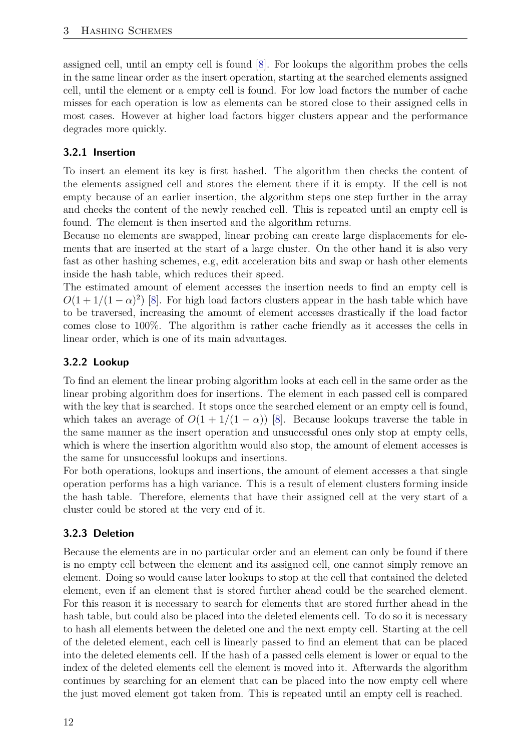assigned cell, until an empty cell is found [\[8\]](#page-32-0). For lookups the algorithm probes the cells in the same linear order as the insert operation, starting at the searched elements assigned cell, until the element or a empty cell is found. For low load factors the number of cache misses for each operation is low as elements can be stored close to their assigned cells in most cases. However at higher load factors bigger clusters appear and the performance degrades more quickly.

### <span id="page-11-0"></span>**3.2.1 Insertion**

To insert an element its key is first hashed. The algorithm then checks the content of the elements assigned cell and stores the element there if it is empty. If the cell is not empty because of an earlier insertion, the algorithm steps one step further in the array and checks the content of the newly reached cell. This is repeated until an empty cell is found. The element is then inserted and the algorithm returns.

Because no elements are swapped, linear probing can create large displacements for elements that are inserted at the start of a large cluster. On the other hand it is also very fast as other hashing schemes, e.g, edit acceleration bits and swap or hash other elements inside the hash table, which reduces their speed.

The estimated amount of element accesses the insertion needs to find an empty cell is  $O(1 + 1/(1 - \alpha)^2)$  [\[8\]](#page-32-0). For high load factors clusters appear in the hash table which have to be traversed, increasing the amount of element accesses drastically if the load factor comes close to 100%. The algorithm is rather cache friendly as it accesses the cells in linear order, which is one of its main advantages.

## <span id="page-11-1"></span>**3.2.2 Lookup**

To find an element the linear probing algorithm looks at each cell in the same order as the linear probing algorithm does for insertions. The element in each passed cell is compared with the key that is searched. It stops once the searched element or an empty cell is found, which takes an average of  $O(1 + 1/(1 - \alpha))$  [\[8\]](#page-32-0). Because lookups traverse the table in the same manner as the insert operation and unsuccessful ones only stop at empty cells, which is where the insertion algorithm would also stop, the amount of element accesses is the same for unsuccessful lookups and insertions.

For both operations, lookups and insertions, the amount of element accesses a that single operation performs has a high variance. This is a result of element clusters forming inside the hash table. Therefore, elements that have their assigned cell at the very start of a cluster could be stored at the very end of it.

## <span id="page-11-2"></span>**3.2.3 Deletion**

Because the elements are in no particular order and an element can only be found if there is no empty cell between the element and its assigned cell, one cannot simply remove an element. Doing so would cause later lookups to stop at the cell that contained the deleted element, even if an element that is stored further ahead could be the searched element. For this reason it is necessary to search for elements that are stored further ahead in the hash table, but could also be placed into the deleted elements cell. To do so it is necessary to hash all elements between the deleted one and the next empty cell. Starting at the cell of the deleted element, each cell is linearly passed to find an element that can be placed into the deleted elements cell. If the hash of a passed cells element is lower or equal to the index of the deleted elements cell the element is moved into it. Afterwards the algorithm continues by searching for an element that can be placed into the now empty cell where the just moved element got taken from. This is repeated until an empty cell is reached.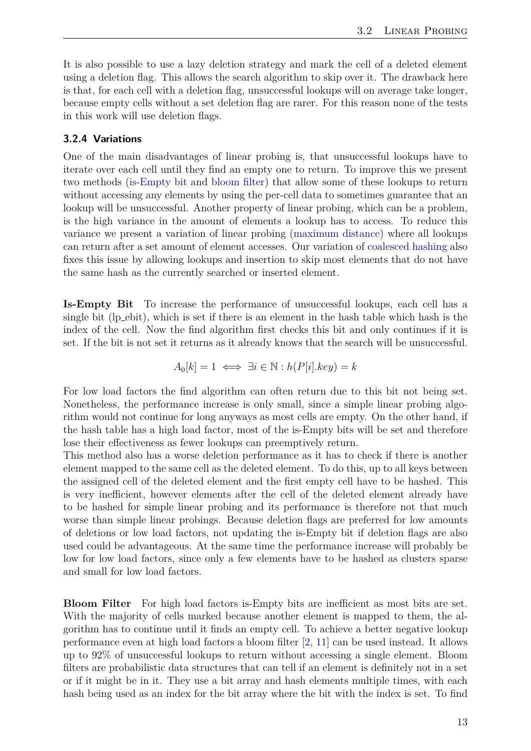It is also possible to use a lazy deletion strategy and mark the cell of a deleted element using a deletion flag. This allows the search algorithm to skip over it. The drawback here is that, for each cell with a deletion flag, unsuccessful lookups will on average take longer, because empty cells without a set deletion flag are rarer. For this reason none of the tests in this work will use deletion flags.

#### <span id="page-12-0"></span>**3.2.4 Variations**

One of the main disadvantages of linear probing is, that unsuccessful lookups have to iterate over each cell until they find an empty one to return. To improve this we present two methods [\(is-Empty bit](#page-12-1) and [bloom filter\)](#page-12-2) that allow some of these lookups to return without accessing any elements by using the per-cell data to sometimes guarantee that an lookup will be unsuccessful. Another property of linear probing, which can be a problem, is the high variance in the amount of elements a lookup has to access. To reduce this variance we present a variation of linear probing [\(maximum distance\)](#page-13-0) where all lookups can return after a set amount of element accesses. Our variation of [coalesced hashing](#page-14-1) also fixes this issue by allowing lookups and insertion to skip most elements that do not have the same hash as the currently searched or inserted element.

<span id="page-12-1"></span>**Is-Empty Bit** To increase the performance of unsuccessful lookups, each cell has a single bit (lp ebit), which is set if there is an element in the hash table which hash is the index of the cell. Now the find algorithm first checks this bit and only continues if it is set. If the bit is not set it returns as it already knows that the search will be unsuccessful.

$$
A_0[k] = 1 \iff \exists i \in \mathbb{N} : h(P[i].key) = k
$$

For low load factors the find algorithm can often return due to this bit not being set. Nonetheless, the performance increase is only small, since a simple linear probing algorithm would not continue for long anyways as most cells are empty. On the other hand, if the hash table has a high load factor, most of the is-Empty bits will be set and therefore lose their effectiveness as fewer lookups can preemptively return.

This method also has a worse deletion performance as it has to check if there is another element mapped to the same cell as the deleted element. To do this, up to all keys between the assigned cell of the deleted element and the first empty cell have to be hashed. This is very inefficient, however elements after the cell of the deleted element already have to be hashed for simple linear probing and its performance is therefore not that much worse than simple linear probings. Because deletion flags are preferred for low amounts of deletions or low load factors, not updating the is-Empty bit if deletion flags are also used could be advantageous. At the same time the performance increase will probably be low for low load factors, since only a few elements have to be hashed as clusters sparse and small for low load factors.

<span id="page-12-2"></span>**Bloom Filter** For high load factors is-Empty bits are inefficient as most bits are set. With the majority of cells marked because another element is mapped to them, the algorithm has to continue until it finds an empty cell. To achieve a better negative lookup performance even at high load factors a bloom filter [\[2,](#page-32-8) [11\]](#page-32-4) can be used instead. It allows up to 92% of unsuccessful lookups to return without accessing a single element. Bloom filters are probabilistic data structures that can tell if an element is definitely not in a set or if it might be in it. They use a bit array and hash elements multiple times, with each hash being used as an index for the bit array where the bit with the index is set. To find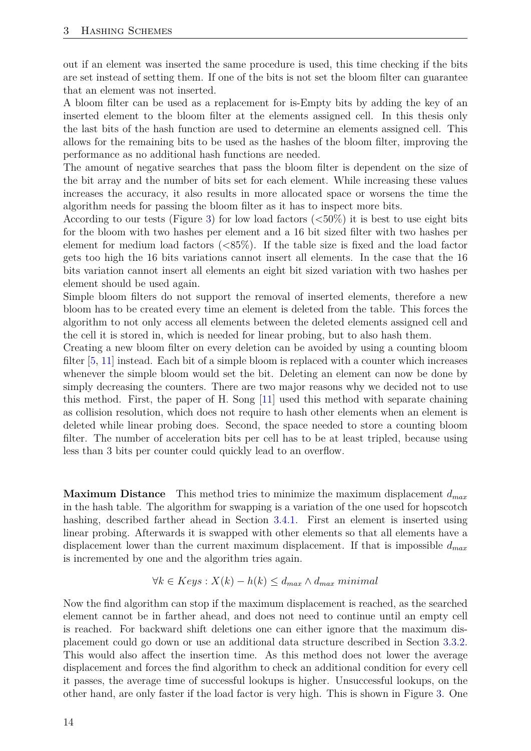out if an element was inserted the same procedure is used, this time checking if the bits are set instead of setting them. If one of the bits is not set the bloom filter can guarantee that an element was not inserted.

A bloom filter can be used as a replacement for is-Empty bits by adding the key of an inserted element to the bloom filter at the elements assigned cell. In this thesis only the last bits of the hash function are used to determine an elements assigned cell. This allows for the remaining bits to be used as the hashes of the bloom filter, improving the performance as no additional hash functions are needed.

The amount of negative searches that pass the bloom filter is dependent on the size of the bit array and the number of bits set for each element. While increasing these values increases the accuracy, it also results in more allocated space or worsens the time the algorithm needs for passing the bloom filter as it has to inspect more bits.

According to our tests (Figure [3\)](#page-14-0) for low load factors  $(<50\%)$  it is best to use eight bits for the bloom with two hashes per element and a 16 bit sized filter with two hashes per element for medium load factors  $\langle \langle 85\% \rangle$ . If the table size is fixed and the load factor gets too high the 16 bits variations cannot insert all elements. In the case that the 16 bits variation cannot insert all elements an eight bit sized variation with two hashes per element should be used again.

Simple bloom filters do not support the removal of inserted elements, therefore a new bloom has to be created every time an element is deleted from the table. This forces the algorithm to not only access all elements between the deleted elements assigned cell and the cell it is stored in, which is needed for linear probing, but to also hash them.

Creating a new bloom filter on every deletion can be avoided by using a counting bloom filter [\[5,](#page-32-9) [11\]](#page-32-4) instead. Each bit of a simple bloom is replaced with a counter which increases whenever the simple bloom would set the bit. Deleting an element can now be done by simply decreasing the counters. There are two major reasons why we decided not to use this method. First, the paper of H. Song [\[11\]](#page-32-4) used this method with separate chaining as collision resolution, which does not require to hash other elements when an element is deleted while linear probing does. Second, the space needed to store a counting bloom filter. The number of acceleration bits per cell has to be at least tripled, because using less than 3 bits per counter could quickly lead to an overflow.

<span id="page-13-0"></span>**Maximum Distance** This method tries to minimize the maximum displacement *dmax* in the hash table. The algorithm for swapping is a variation of the one used for hopscotch hashing, described farther ahead in Section [3.4.1.](#page-20-0) First an element is inserted using linear probing. Afterwards it is swapped with other elements so that all elements have a displacement lower than the current maximum displacement. If that is impossible *dmax* is incremented by one and the algorithm tries again.

#### ∀*k* ∈ *Keys* : *X*(*k*) − *h*(*k*) ≤ *dmax* ∧ *dmax minimal*

Now the find algorithm can stop if the maximum displacement is reached, as the searched element cannot be in farther ahead, and does not need to continue until an empty cell is reached. For backward shift deletions one can either ignore that the maximum displacement could go down or use an additional data structure described in Section [3.3.2.](#page-16-1) This would also affect the insertion time. As this method does not lower the average displacement and forces the find algorithm to check an additional condition for every cell it passes, the average time of successful lookups is higher. Unsuccessful lookups, on the other hand, are only faster if the load factor is very high. This is shown in Figure [3.](#page-14-0) One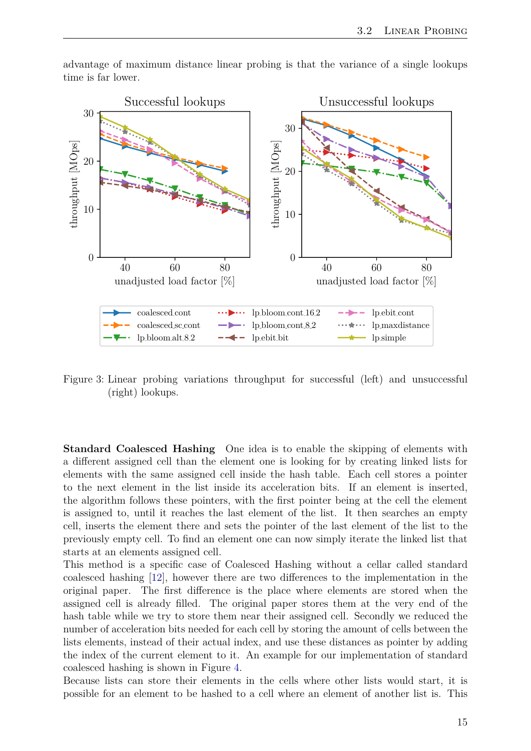

advantage of maximum distance linear probing is that the variance of a single lookups time is far lower.

<span id="page-14-0"></span>Figure 3: Linear probing variations throughput for successful (left) and unsuccessful (right) lookups.

<span id="page-14-1"></span>**Standard Coalesced Hashing** One idea is to enable the skipping of elements with a different assigned cell than the element one is looking for by creating linked lists for elements with the same assigned cell inside the hash table. Each cell stores a pointer to the next element in the list inside its acceleration bits. If an element is inserted, the algorithm follows these pointers, with the first pointer being at the cell the element is assigned to, until it reaches the last element of the list. It then searches an empty cell, inserts the element there and sets the pointer of the last element of the list to the previously empty cell. To find an element one can now simply iterate the linked list that starts at an elements assigned cell.

This method is a specific case of Coalesced Hashing without a cellar called standard coalesced hashing [\[12\]](#page-32-2), however there are two differences to the implementation in the original paper. The first difference is the place where elements are stored when the assigned cell is already filled. The original paper stores them at the very end of the hash table while we try to store them near their assigned cell. Secondly we reduced the number of acceleration bits needed for each cell by storing the amount of cells between the lists elements, instead of their actual index, and use these distances as pointer by adding the index of the current element to it. An example for our implementation of standard coalesced hashing is shown in Figure [4.](#page-16-2)

Because lists can store their elements in the cells where other lists would start, it is possible for an element to be hashed to a cell where an element of another list is. This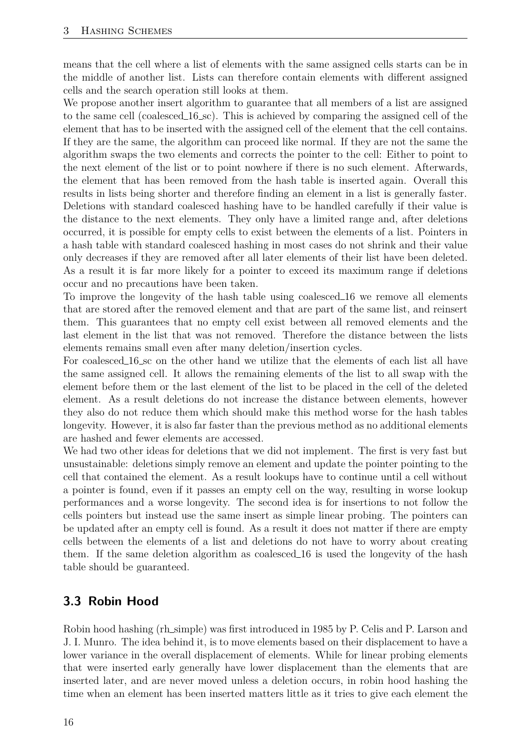means that the cell where a list of elements with the same assigned cells starts can be in the middle of another list. Lists can therefore contain elements with different assigned cells and the search operation still looks at them.

We propose another insert algorithm to guarantee that all members of a list are assigned to the same cell (coalesced  $16$  sc). This is achieved by comparing the assigned cell of the element that has to be inserted with the assigned cell of the element that the cell contains. If they are the same, the algorithm can proceed like normal. If they are not the same the algorithm swaps the two elements and corrects the pointer to the cell: Either to point to the next element of the list or to point nowhere if there is no such element. Afterwards, the element that has been removed from the hash table is inserted again. Overall this results in lists being shorter and therefore finding an element in a list is generally faster. Deletions with standard coalesced hashing have to be handled carefully if their value is the distance to the next elements. They only have a limited range and, after deletions occurred, it is possible for empty cells to exist between the elements of a list. Pointers in a hash table with standard coalesced hashing in most cases do not shrink and their value only decreases if they are removed after all later elements of their list have been deleted. As a result it is far more likely for a pointer to exceed its maximum range if deletions occur and no precautions have been taken.

To improve the longevity of the hash table using coalesced 16 we remove all elements that are stored after the removed element and that are part of the same list, and reinsert them. This guarantees that no empty cell exist between all removed elements and the last element in the list that was not removed. Therefore the distance between the lists elements remains small even after many deletion/insertion cycles.

For coalesced 16 sc on the other hand we utilize that the elements of each list all have the same assigned cell. It allows the remaining elements of the list to all swap with the element before them or the last element of the list to be placed in the cell of the deleted element. As a result deletions do not increase the distance between elements, however they also do not reduce them which should make this method worse for the hash tables longevity. However, it is also far faster than the previous method as no additional elements are hashed and fewer elements are accessed.

We had two other ideas for deletions that we did not implement. The first is very fast but unsustainable: deletions simply remove an element and update the pointer pointing to the cell that contained the element. As a result lookups have to continue until a cell without a pointer is found, even if it passes an empty cell on the way, resulting in worse lookup performances and a worse longevity. The second idea is for insertions to not follow the cells pointers but instead use the same insert as simple linear probing. The pointers can be updated after an empty cell is found. As a result it does not matter if there are empty cells between the elements of a list and deletions do not have to worry about creating them. If the same deletion algorithm as coalesced 16 is used the longevity of the hash table should be guaranteed.

## <span id="page-15-0"></span>**3.3 Robin Hood**

Robin hood hashing (rh simple) was first introduced in 1985 by P. Celis and P. Larson and J. I. Munro. The idea behind it, is to move elements based on their displacement to have a lower variance in the overall displacement of elements. While for linear probing elements that were inserted early generally have lower displacement than the elements that are inserted later, and are never moved unless a deletion occurs, in robin hood hashing the time when an element has been inserted matters little as it tries to give each element the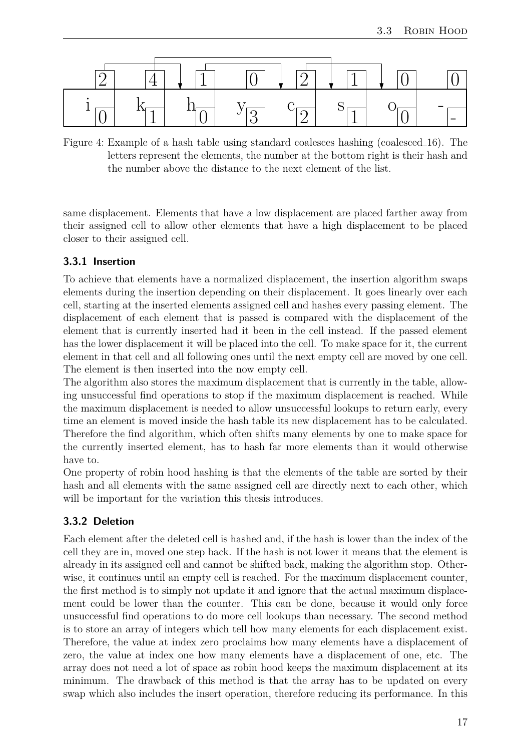

<span id="page-16-2"></span>Figure 4: Example of a hash table using standard coalesces hashing (coalesced 16). The letters represent the elements, the number at the bottom right is their hash and the number above the distance to the next element of the list.

same displacement. Elements that have a low displacement are placed farther away from their assigned cell to allow other elements that have a high displacement to be placed closer to their assigned cell.

#### <span id="page-16-0"></span>**3.3.1 Insertion**

To achieve that elements have a normalized displacement, the insertion algorithm swaps elements during the insertion depending on their displacement. It goes linearly over each cell, starting at the inserted elements assigned cell and hashes every passing element. The displacement of each element that is passed is compared with the displacement of the element that is currently inserted had it been in the cell instead. If the passed element has the lower displacement it will be placed into the cell. To make space for it, the current element in that cell and all following ones until the next empty cell are moved by one cell. The element is then inserted into the now empty cell.

The algorithm also stores the maximum displacement that is currently in the table, allowing unsuccessful find operations to stop if the maximum displacement is reached. While the maximum displacement is needed to allow unsuccessful lookups to return early, every time an element is moved inside the hash table its new displacement has to be calculated. Therefore the find algorithm, which often shifts many elements by one to make space for the currently inserted element, has to hash far more elements than it would otherwise have to.

One property of robin hood hashing is that the elements of the table are sorted by their hash and all elements with the same assigned cell are directly next to each other, which will be important for the variation this thesis introduces.

#### <span id="page-16-1"></span>**3.3.2 Deletion**

Each element after the deleted cell is hashed and, if the hash is lower than the index of the cell they are in, moved one step back. If the hash is not lower it means that the element is already in its assigned cell and cannot be shifted back, making the algorithm stop. Otherwise, it continues until an empty cell is reached. For the maximum displacement counter, the first method is to simply not update it and ignore that the actual maximum displacement could be lower than the counter. This can be done, because it would only force unsuccessful find operations to do more cell lookups than necessary. The second method is to store an array of integers which tell how many elements for each displacement exist. Therefore, the value at index zero proclaims how many elements have a displacement of zero, the value at index one how many elements have a displacement of one, etc. The array does not need a lot of space as robin hood keeps the maximum displacement at its minimum. The drawback of this method is that the array has to be updated on every swap which also includes the insert operation, therefore reducing its performance. In this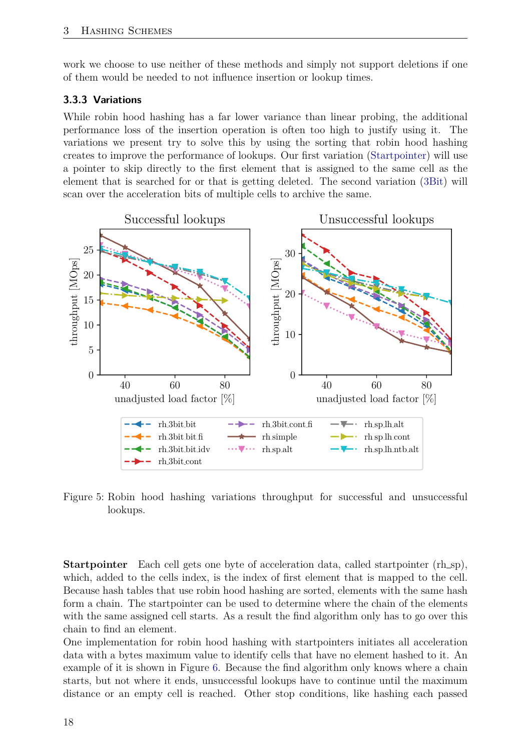work we choose to use neither of these methods and simply not support deletions if one of them would be needed to not influence insertion or lookup times.

#### <span id="page-17-0"></span>**3.3.3 Variations**

While robin hood hashing has a far lower variance than linear probing, the additional performance loss of the insertion operation is often too high to justify using it. The variations we present try to solve this by using the sorting that robin hood hashing creates to improve the performance of lookups. Our first variation [\(Startpointer\)](#page-17-2) will use a pointer to skip directly to the first element that is assigned to the same cell as the element that is searched for or that is getting deleted. The second variation [\(3Bit\)](#page-18-1) will scan over the acceleration bits of multiple cells to archive the same.



<span id="page-17-1"></span>Figure 5: Robin hood hashing variations throughput for successful and unsuccessful lookups.

<span id="page-17-2"></span>**Startpointer** Each cell gets one byte of acceleration data, called startpointer (rh\_sp), which, added to the cells index, is the index of first element that is mapped to the cell. Because hash tables that use robin hood hashing are sorted, elements with the same hash form a chain. The startpointer can be used to determine where the chain of the elements with the same assigned cell starts. As a result the find algorithm only has to go over this chain to find an element.

One implementation for robin hood hashing with startpointers initiates all acceleration data with a bytes maximum value to identify cells that have no element hashed to it. An example of it is shown in Figure [6.](#page-18-0) Because the find algorithm only knows where a chain starts, but not where it ends, unsuccessful lookups have to continue until the maximum distance or an empty cell is reached. Other stop conditions, like hashing each passed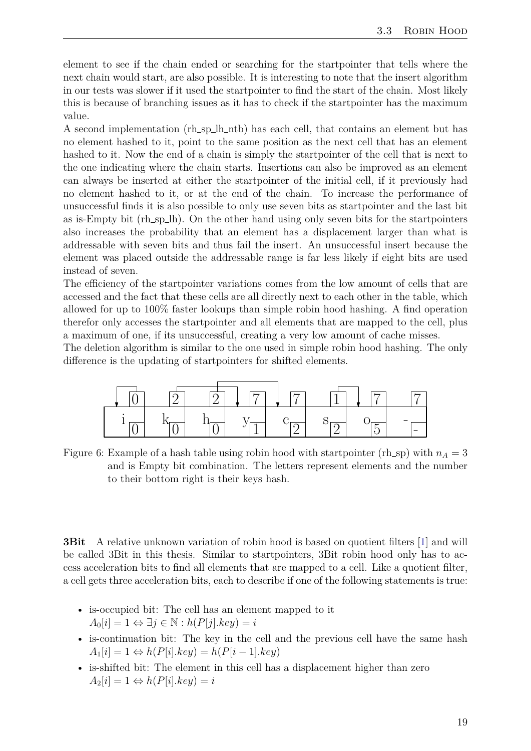element to see if the chain ended or searching for the startpointer that tells where the next chain would start, are also possible. It is interesting to note that the insert algorithm in our tests was slower if it used the startpointer to find the start of the chain. Most likely this is because of branching issues as it has to check if the startpointer has the maximum value.

A second implementation (rh\_sp\_lh\_ntb) has each cell, that contains an element but has no element hashed to it, point to the same position as the next cell that has an element hashed to it. Now the end of a chain is simply the startpointer of the cell that is next to the one indicating where the chain starts. Insertions can also be improved as an element can always be inserted at either the startpointer of the initial cell, if it previously had no element hashed to it, or at the end of the chain. To increase the performance of unsuccessful finds it is also possible to only use seven bits as startpointer and the last bit as is-Empty bit (rh\_sp\_lh). On the other hand using only seven bits for the startpointers also increases the probability that an element has a displacement larger than what is addressable with seven bits and thus fail the insert. An unsuccessful insert because the element was placed outside the addressable range is far less likely if eight bits are used instead of seven.

The efficiency of the startpointer variations comes from the low amount of cells that are accessed and the fact that these cells are all directly next to each other in the table, which allowed for up to 100% faster lookups than simple robin hood hashing. A find operation therefor only accesses the startpointer and all elements that are mapped to the cell, plus a maximum of one, if its unsuccessful, creating a very low amount of cache misses.

The deletion algorithm is similar to the one used in simple robin hood hashing. The only difference is the updating of startpointers for shifted elements.



<span id="page-18-0"></span>Figure 6: Example of a hash table using robin hood with startpointer (rh\_sp) with  $n_A = 3$ and is Empty bit combination. The letters represent elements and the number to their bottom right is their keys hash.

<span id="page-18-1"></span>**3Bit** A relative unknown variation of robin hood is based on quotient filters [\[1\]](#page-32-10) and will be called 3Bit in this thesis. Similar to startpointers, 3Bit robin hood only has to access acceleration bits to find all elements that are mapped to a cell. Like a quotient filter, a cell gets three acceleration bits, each to describe if one of the following statements is true:

- is-occupied bit: The cell has an element mapped to it  $A_0[i] = 1 \Leftrightarrow \exists j \in \mathbb{N} : h(P[j].key) = i$
- is-continuation bit: The key in the cell and the previous cell have the same hash  $A_1[i] = 1 \Leftrightarrow h(P[i].key) = h(P[i-1].key)$
- is-shifted bit: The element in this cell has a displacement higher than zero  $A_2[i] = 1 \Leftrightarrow h(P[i].key) = i$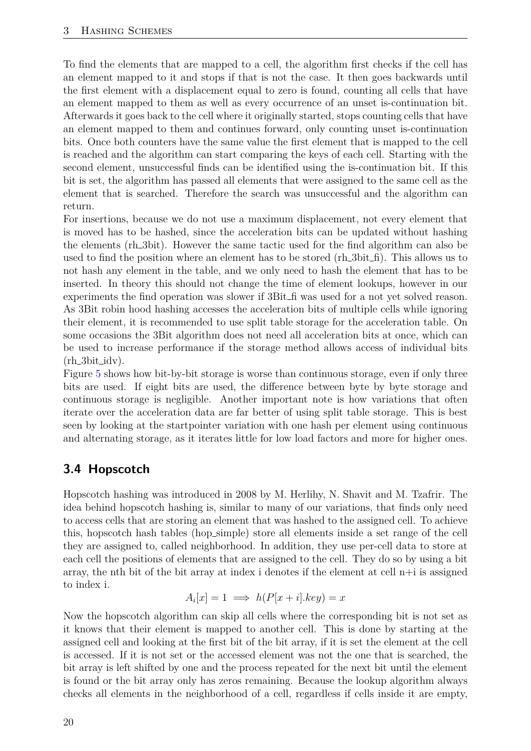To find the elements that are mapped to a cell, the algorithm first checks if the cell has an element mapped to it and stops if that is not the case. It then goes backwards until the first element with a displacement equal to zero is found, counting all cells that have an element mapped to them as well as every occurrence of an unset is-continuation bit. Afterwards it goes back to the cell where it originally started, stops counting cells that have an element mapped to them and continues forward, only counting unset is-continuation bits. Once both counters have the same value the first element that is mapped to the cell is reached and the algorithm can start comparing the keys of each cell. Starting with the second element, unsuccessful finds can be identified using the is-continuation bit. If this bit is set, the algorithm has passed all elements that were assigned to the same cell as the element that is searched. Therefore the search was unsuccessful and the algorithm can return.

For insertions, because we do not use a maximum displacement, not every element that is moved has to be hashed, since the acceleration bits can be updated without hashing the elements (rh<sub>-3</sub>bit). However the same tactic used for the find algorithm can also be used to find the position where an element has to be stored  $(rh_3bit_1)$ . This allows us to not hash any element in the table, and we only need to hash the element that has to be inserted. In theory this should not change the time of element lookups, however in our experiments the find operation was slower if 3Bit fi was used for a not yet solved reason. As 3Bit robin hood hashing accesses the acceleration bits of multiple cells while ignoring their element, it is recommended to use split table storage for the acceleration table. On some occasions the 3Bit algorithm does not need all acceleration bits at once, which can be used to increase performance if the storage method allows access of individual bits  $(rh_3bit_idv)$ .

Figure [5](#page-17-1) shows how bit-by-bit storage is worse than continuous storage, even if only three bits are used. If eight bits are used, the difference between byte by byte storage and continuous storage is negligible. Another important note is how variations that often iterate over the acceleration data are far better of using split table storage. This is best seen by looking at the startpointer variation with one hash per element using continuous and alternating storage, as it iterates little for low load factors and more for higher ones.

#### <span id="page-19-0"></span>**3.4 Hopscotch**

Hopscotch hashing was introduced in 2008 by M. Herlihy, N. Shavit and M. Tzafrir. The idea behind hopscotch hashing is, similar to many of our variations, that finds only need to access cells that are storing an element that was hashed to the assigned cell. To achieve this, hopscotch hash tables (hop simple) store all elements inside a set range of the cell they are assigned to, called neighborhood. In addition, they use per-cell data to store at each cell the positions of elements that are assigned to the cell. They do so by using a bit array, the nth bit of the bit array at index i denotes if the element at cell  $n+i$  is assigned to index i.

$$
A_i[x] = 1 \implies h(P[x+i].key) = x
$$

Now the hopscotch algorithm can skip all cells where the corresponding bit is not set as it knows that their element is mapped to another cell. This is done by starting at the assigned cell and looking at the first bit of the bit array, if it is set the element at the cell is accessed. If it is not set or the accessed element was not the one that is searched, the bit array is left shifted by one and the process repeated for the next bit until the element is found or the bit array only has zeros remaining. Because the lookup algorithm always checks all elements in the neighborhood of a cell, regardless if cells inside it are empty,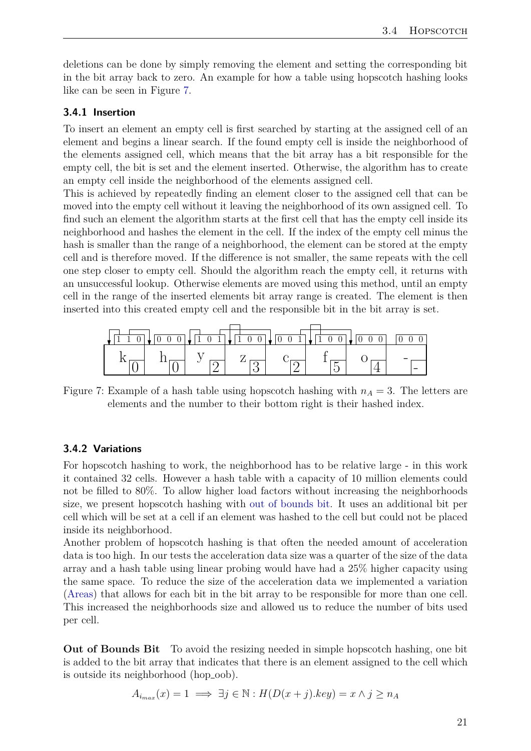deletions can be done by simply removing the element and setting the corresponding bit in the bit array back to zero. An example for how a table using hopscotch hashing looks like can be seen in Figure [7.](#page-20-2)

#### <span id="page-20-0"></span>**3.4.1 Insertion**

To insert an element an empty cell is first searched by starting at the assigned cell of an element and begins a linear search. If the found empty cell is inside the neighborhood of the elements assigned cell, which means that the bit array has a bit responsible for the empty cell, the bit is set and the element inserted. Otherwise, the algorithm has to create an empty cell inside the neighborhood of the elements assigned cell.

This is achieved by repeatedly finding an element closer to the assigned cell that can be moved into the empty cell without it leaving the neighborhood of its own assigned cell. To find such an element the algorithm starts at the first cell that has the empty cell inside its neighborhood and hashes the element in the cell. If the index of the empty cell minus the hash is smaller than the range of a neighborhood, the element can be stored at the empty cell and is therefore moved. If the difference is not smaller, the same repeats with the cell one step closer to empty cell. Should the algorithm reach the empty cell, it returns with an unsuccessful lookup. Otherwise elements are moved using this method, until an empty cell in the range of the inserted elements bit array range is created. The element is then inserted into this created empty cell and the responsible bit in the bit array is set.



<span id="page-20-2"></span>Figure 7: Example of a hash table using hopscotch hashing with  $n_A = 3$ . The letters are elements and the number to their bottom right is their hashed index.

#### <span id="page-20-1"></span>**3.4.2 Variations**

For hopscotch hashing to work, the neighborhood has to be relative large - in this work it contained 32 cells. However a hash table with a capacity of 10 million elements could not be filled to 80%. To allow higher load factors without increasing the neighborhoods size, we present hopscotch hashing with [out of bounds bit.](#page-20-3) It uses an additional bit per cell which will be set at a cell if an element was hashed to the cell but could not be placed inside its neighborhood.

Another problem of hopscotch hashing is that often the needed amount of acceleration data is too high. In our tests the acceleration data size was a quarter of the size of the data array and a hash table using linear probing would have had a 25% higher capacity using the same space. To reduce the size of the acceleration data we implemented a variation [\(Areas\)](#page-21-1) that allows for each bit in the bit array to be responsible for more than one cell. This increased the neighborhoods size and allowed us to reduce the number of bits used per cell.

<span id="page-20-3"></span>**Out of Bounds Bit** To avoid the resizing needed in simple hopscotch hashing, one bit is added to the bit array that indicates that there is an element assigned to the cell which is outside its neighborhood (hop\_oob).

$$
A_{i_{max}}(x) = 1 \implies \exists j \in \mathbb{N} : H(D(x+j).key) = x \land j \ge n_A
$$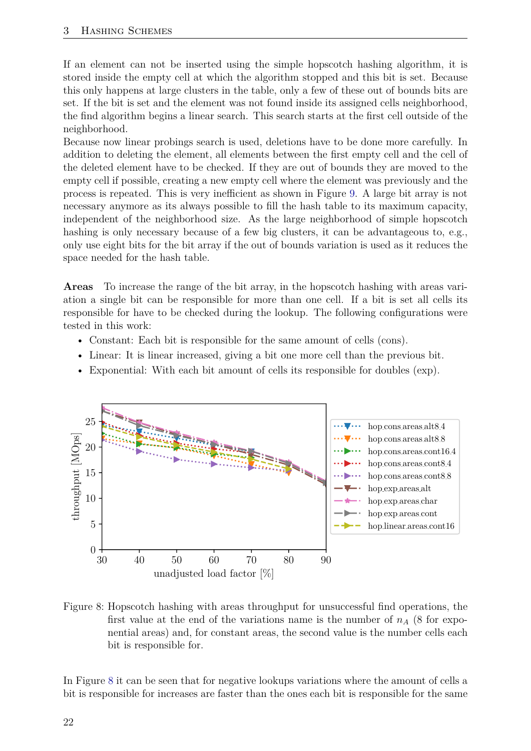If an element can not be inserted using the simple hopscotch hashing algorithm, it is stored inside the empty cell at which the algorithm stopped and this bit is set. Because this only happens at large clusters in the table, only a few of these out of bounds bits are set. If the bit is set and the element was not found inside its assigned cells neighborhood, the find algorithm begins a linear search. This search starts at the first cell outside of the neighborhood.

Because now linear probings search is used, deletions have to be done more carefully. In addition to deleting the element, all elements between the first empty cell and the cell of the deleted element have to be checked. If they are out of bounds they are moved to the empty cell if possible, creating a new empty cell where the element was previously and the process is repeated. This is very inefficient as shown in Figure [9.](#page-22-0) A large bit array is not necessary anymore as its always possible to fill the hash table to its maximum capacity, independent of the neighborhood size. As the large neighborhood of simple hopscotch hashing is only necessary because of a few big clusters, it can be advantageous to, e.g., only use eight bits for the bit array if the out of bounds variation is used as it reduces the space needed for the hash table.

<span id="page-21-1"></span>**Areas** To increase the range of the bit array, in the hopscotch hashing with areas variation a single bit can be responsible for more than one cell. If a bit is set all cells its responsible for have to be checked during the lookup. The following configurations were tested in this work:

- Constant: Each bit is responsible for the same amount of cells (cons).
- Linear: It is linear increased, giving a bit one more cell than the previous bit.
- Exponential: With each bit amount of cells its responsible for doubles (exp).



<span id="page-21-0"></span>Figure 8: Hopscotch hashing with areas throughput for unsuccessful find operations, the first value at the end of the variations name is the number of  $n_A$  (8 for exponential areas) and, for constant areas, the second value is the number cells each bit is responsible for.

In Figure [8](#page-21-0) it can be seen that for negative lookups variations where the amount of cells a bit is responsible for increases are faster than the ones each bit is responsible for the same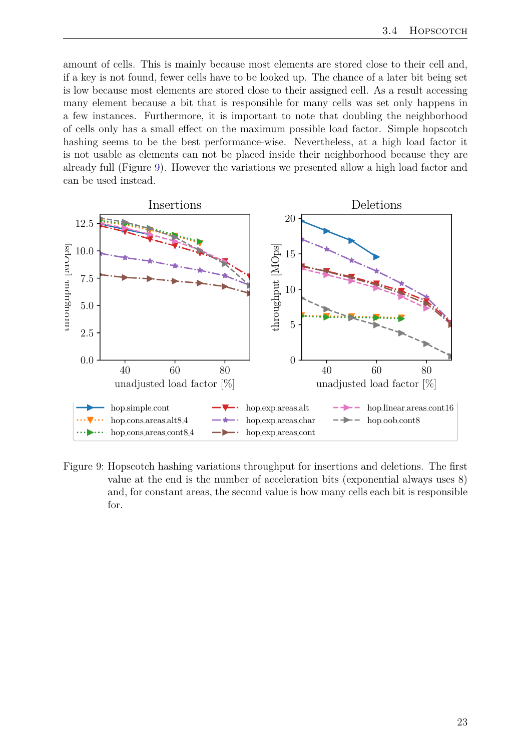amount of cells. This is mainly because most elements are stored close to their cell and, if a key is not found, fewer cells have to be looked up. The chance of a later bit being set is low because most elements are stored close to their assigned cell. As a result accessing many element because a bit that is responsible for many cells was set only happens in a few instances. Furthermore, it is important to note that doubling the neighborhood of cells only has a small effect on the maximum possible load factor. Simple hopscotch hashing seems to be the best performance-wise. Nevertheless, at a high load factor it is not usable as elements can not be placed inside their neighborhood because they are already full (Figure [9\)](#page-22-0). However the variations we presented allow a high load factor and can be used instead.



<span id="page-22-0"></span>Figure 9: Hopscotch hashing variations throughput for insertions and deletions. The first value at the end is the number of acceleration bits (exponential always uses 8) and, for constant areas, the second value is how many cells each bit is responsible for.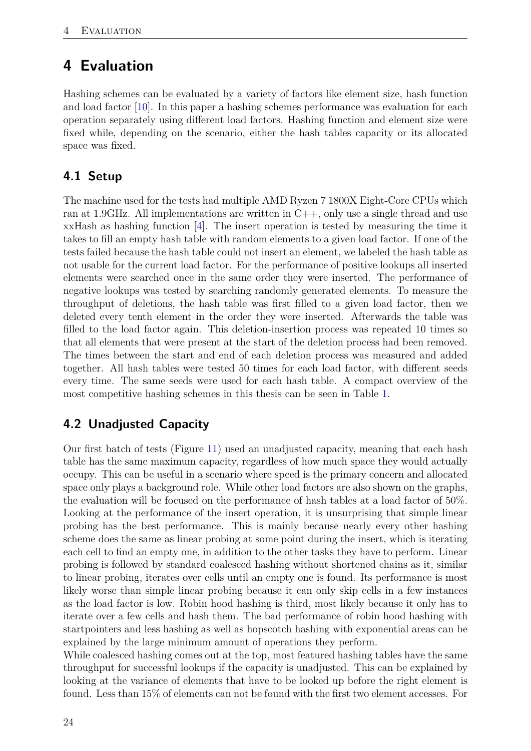# <span id="page-23-0"></span>**4 Evaluation**

Hashing schemes can be evaluated by a variety of factors like element size, hash function and load factor [\[10\]](#page-32-11). In this paper a hashing schemes performance was evaluation for each operation separately using different load factors. Hashing function and element size were fixed while, depending on the scenario, either the hash tables capacity or its allocated space was fixed.

## <span id="page-23-1"></span>**4.1 Setup**

The machine used for the tests had multiple AMD Ryzen 7 1800X Eight-Core CPUs which ran at 1.9GHz. All implementations are written in  $C++$ , only use a single thread and use xxHash as hashing function [\[4\]](#page-32-7). The insert operation is tested by measuring the time it takes to fill an empty hash table with random elements to a given load factor. If one of the tests failed because the hash table could not insert an element, we labeled the hash table as not usable for the current load factor. For the performance of positive lookups all inserted elements were searched once in the same order they were inserted. The performance of negative lookups was tested by searching randomly generated elements. To measure the throughput of deletions, the hash table was first filled to a given load factor, then we deleted every tenth element in the order they were inserted. Afterwards the table was filled to the load factor again. This deletion-insertion process was repeated 10 times so that all elements that were present at the start of the deletion process had been removed. The times between the start and end of each deletion process was measured and added together. All hash tables were tested 50 times for each load factor, with different seeds every time. The same seeds were used for each hash table. A compact overview of the most competitive hashing schemes in this thesis can be seen in Table [1.](#page-29-1)

## <span id="page-23-2"></span>**4.2 Unadjusted Capacity**

Our first batch of tests (Figure [11\)](#page-25-0) used an unadjusted capacity, meaning that each hash table has the same maximum capacity, regardless of how much space they would actually occupy. This can be useful in a scenario where speed is the primary concern and allocated space only plays a background role. While other load factors are also shown on the graphs, the evaluation will be focused on the performance of hash tables at a load factor of 50%. Looking at the performance of the insert operation, it is unsurprising that simple linear probing has the best performance. This is mainly because nearly every other hashing scheme does the same as linear probing at some point during the insert, which is iterating each cell to find an empty one, in addition to the other tasks they have to perform. Linear probing is followed by standard coalesced hashing without shortened chains as it, similar to linear probing, iterates over cells until an empty one is found. Its performance is most likely worse than simple linear probing because it can only skip cells in a few instances as the load factor is low. Robin hood hashing is third, most likely because it only has to iterate over a few cells and hash them. The bad performance of robin hood hashing with startpointers and less hashing as well as hopscotch hashing with exponential areas can be explained by the large minimum amount of operations they perform.

While coalesced hashing comes out at the top, most featured hashing tables have the same throughput for successful lookups if the capacity is unadjusted. This can be explained by looking at the variance of elements that have to be looked up before the right element is found. Less than 15% of elements can not be found with the first two element accesses. For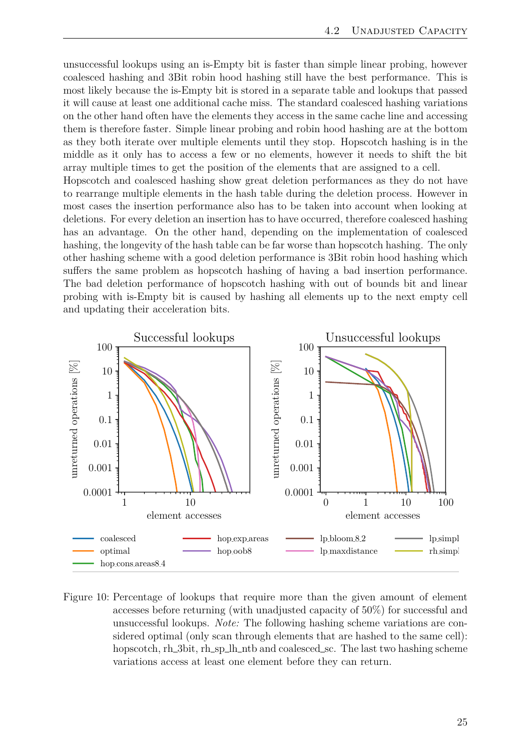unsuccessful lookups using an is-Empty bit is faster than simple linear probing, however coalesced hashing and 3Bit robin hood hashing still have the best performance. This is most likely because the is-Empty bit is stored in a separate table and lookups that passed it will cause at least one additional cache miss. The standard coalesced hashing variations on the other hand often have the elements they access in the same cache line and accessing them is therefore faster. Simple linear probing and robin hood hashing are at the bottom as they both iterate over multiple elements until they stop. Hopscotch hashing is in the middle as it only has to access a few or no elements, however it needs to shift the bit array multiple times to get the position of the elements that are assigned to a cell.

Hopscotch and coalesced hashing show great deletion performances as they do not have to rearrange multiple elements in the hash table during the deletion process. However in most cases the insertion performance also has to be taken into account when looking at deletions. For every deletion an insertion has to have occurred, therefore coalesced hashing has an advantage. On the other hand, depending on the implementation of coalesced hashing, the longevity of the hash table can be far worse than hopscotch hashing. The only other hashing scheme with a good deletion performance is 3Bit robin hood hashing which suffers the same problem as hopscotch hashing of having a bad insertion performance. The bad deletion performance of hopscotch hashing with out of bounds bit and linear probing with is-Empty bit is caused by hashing all elements up to the next empty cell and updating their acceleration bits.



<span id="page-24-0"></span>Figure 10: Percentage of lookups that require more than the given amount of element accesses before returning (with unadjusted capacity of 50%) for successful and unsuccessful lookups. *Note:* The following hashing scheme variations are considered optimal (only scan through elements that are hashed to the same cell): hopscotch, rh 3bit, rh sp lh ntb and coalesced sc. The last two hashing scheme variations access at least one element before they can return.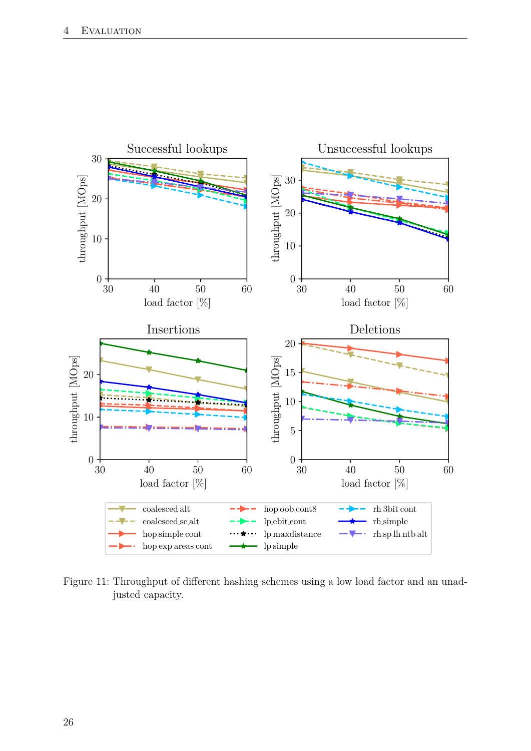

<span id="page-25-0"></span>Figure 11: Throughput of different hashing schemes using a low load factor and an unadjusted capacity.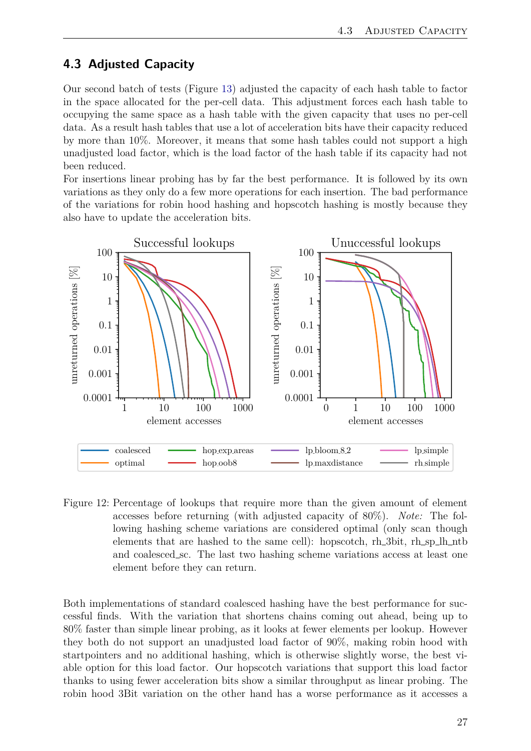### <span id="page-26-0"></span>**4.3 Adjusted Capacity**

Our second batch of tests (Figure [13\)](#page-28-0) adjusted the capacity of each hash table to factor in the space allocated for the per-cell data. This adjustment forces each hash table to occupying the same space as a hash table with the given capacity that uses no per-cell data. As a result hash tables that use a lot of acceleration bits have their capacity reduced by more than 10%. Moreover, it means that some hash tables could not support a high unadjusted load factor, which is the load factor of the hash table if its capacity had not been reduced.

For insertions linear probing has by far the best performance. It is followed by its own variations as they only do a few more operations for each insertion. The bad performance of the variations for robin hood hashing and hopscotch hashing is mostly because they also have to update the acceleration bits.



<span id="page-26-1"></span>Figure 12: Percentage of lookups that require more than the given amount of element accesses before returning (with adjusted capacity of 80%). *Note:* The following hashing scheme variations are considered optimal (only scan though elements that are hashed to the same cell): hopscotch, rh 3bit, rh sp lh ntb and coalesced sc. The last two hashing scheme variations access at least one element before they can return.

Both implementations of standard coalesced hashing have the best performance for successful finds. With the variation that shortens chains coming out ahead, being up to 80% faster than simple linear probing, as it looks at fewer elements per lookup. However they both do not support an unadjusted load factor of 90%, making robin hood with startpointers and no additional hashing, which is otherwise slightly worse, the best viable option for this load factor. Our hopscotch variations that support this load factor thanks to using fewer acceleration bits show a similar throughput as linear probing. The robin hood 3Bit variation on the other hand has a worse performance as it accesses a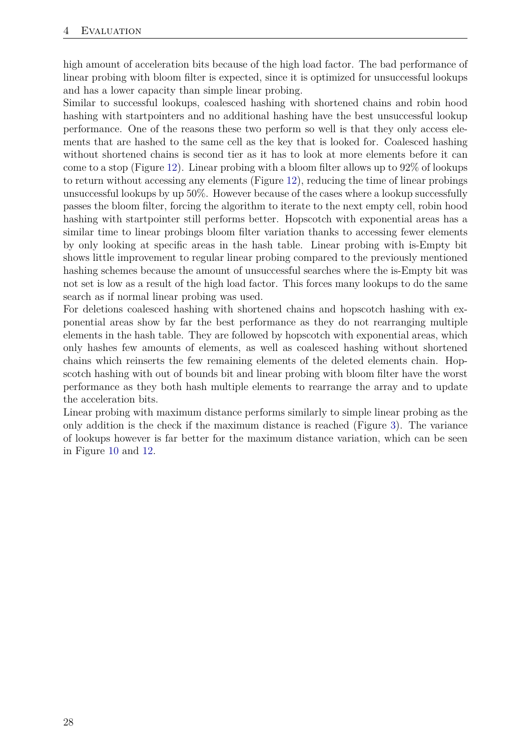high amount of acceleration bits because of the high load factor. The bad performance of linear probing with bloom filter is expected, since it is optimized for unsuccessful lookups and has a lower capacity than simple linear probing.

Similar to successful lookups, coalesced hashing with shortened chains and robin hood hashing with startpointers and no additional hashing have the best unsuccessful lookup performance. One of the reasons these two perform so well is that they only access elements that are hashed to the same cell as the key that is looked for. Coalesced hashing without shortened chains is second tier as it has to look at more elements before it can come to a stop (Figure [12\)](#page-26-1). Linear probing with a bloom filter allows up to 92% of lookups to return without accessing any elements (Figure [12\)](#page-26-1), reducing the time of linear probings unsuccessful lookups by up 50%. However because of the cases where a lookup successfully passes the bloom filter, forcing the algorithm to iterate to the next empty cell, robin hood hashing with startpointer still performs better. Hopscotch with exponential areas has a similar time to linear probings bloom filter variation thanks to accessing fewer elements by only looking at specific areas in the hash table. Linear probing with is-Empty bit shows little improvement to regular linear probing compared to the previously mentioned hashing schemes because the amount of unsuccessful searches where the is-Empty bit was not set is low as a result of the high load factor. This forces many lookups to do the same search as if normal linear probing was used.

For deletions coalesced hashing with shortened chains and hopscotch hashing with exponential areas show by far the best performance as they do not rearranging multiple elements in the hash table. They are followed by hopscotch with exponential areas, which only hashes few amounts of elements, as well as coalesced hashing without shortened chains which reinserts the few remaining elements of the deleted elements chain. Hopscotch hashing with out of bounds bit and linear probing with bloom filter have the worst performance as they both hash multiple elements to rearrange the array and to update the acceleration bits.

Linear probing with maximum distance performs similarly to simple linear probing as the only addition is the check if the maximum distance is reached (Figure [3\)](#page-14-0). The variance of lookups however is far better for the maximum distance variation, which can be seen in Figure [10](#page-24-0) and [12.](#page-26-1)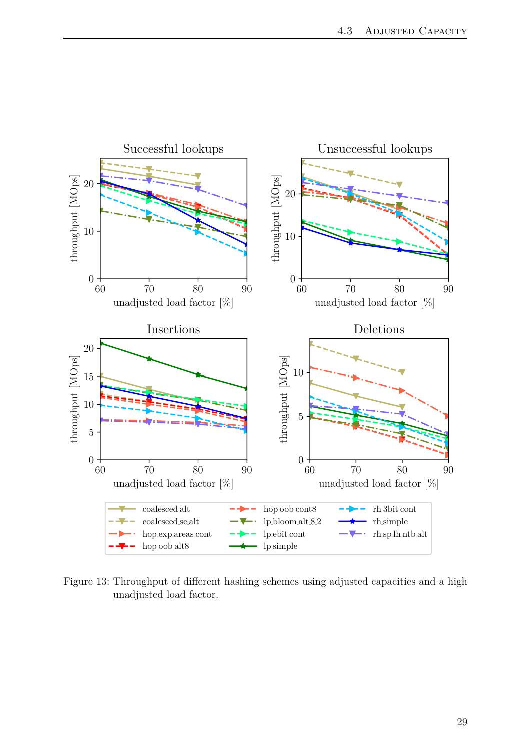

<span id="page-28-0"></span>Figure 13: Throughput of different hashing schemes using adjusted capacities and a high unadjusted load factor.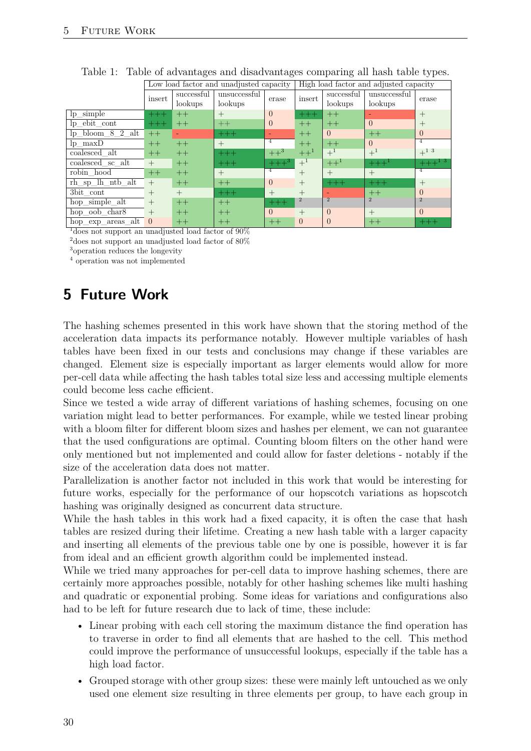|                                       | Low load factor and unadjusted capacity |            |              |                   | High load factor and adjusted capacity |                |                |                    |
|---------------------------------------|-----------------------------------------|------------|--------------|-------------------|----------------------------------------|----------------|----------------|--------------------|
|                                       | insert                                  | successful | unsuccessful | erase             | insert                                 | successful     | unsuccessful   | erase              |
|                                       |                                         | lookups    | lookups      |                   |                                        | lookups        | lookups        |                    |
| $lp$ _simple                          | $+++$                                   | $++$       | $+$          | $\Omega$          | $+++$                                  | $++$           |                | $^{+}$             |
| $lp$ ebit cont                        | $+++$                                   | $++$       | $++$         | $\Omega$          | $++$                                   | $++$           | $\Omega$       | $^{+}$             |
| $lp_{bol}$ bloom $8\frac{2}{a}$ alt   | $++$                                    |            | $+++$        |                   | $++$                                   | $\Omega$       | $++$           | $\theta$           |
| $lp_{max}\overline{D}$                | $++$                                    | $++$       | $^{+}$       | $\overline{4}$    | $++$                                   | $++$           | $\Omega$       | 4                  |
| coalesced alt                         | $++$                                    | $++$       | $+++$        | $++^3$            | $++^1$                                 | $+^1$          | $+^1$          | $+$ <sup>1 3</sup> |
| coalesced sc alt                      | $^{+}$                                  | $++$       | $+++$        | $++$ <sup>3</sup> | $+^1$                                  | $++^1$         | $+++1$         | $+++^{13}$         |
| robin hood                            | $++$                                    | $++$       | $+$          | $\overline{4}$    | $^{+}$                                 | $+$            | $^{+}$         | 4                  |
| rh sp lh ntb alt                      | $^{+}$                                  | $++$       | $++$         | $\Omega$          | $^{+}$                                 | $+++$          | $+++$          | $^{+}$             |
| $3bit_{cont}$                         | $^{+}$                                  | $^{+}$     | $+++$        | $^{+}$            | $^{+}$                                 |                | $++$           | $\Omega$           |
| hop simple alt                        | $^{+}$                                  | $++$       | $++$         | $+++$             | $\overline{2}$                         | $\overline{2}$ | $\overline{2}$ | $\overline{2}$     |
| hop_oob_char8                         | $^{+}$                                  | $++$       | $++$         | $\Omega$          | $^{+}$                                 | $\Omega$       | $^{+}$         | $\Omega$           |
| $\operatorname{hop\_exp\_areas\_alt}$ | $\Omega$                                | $^{++}$    | $++$         | $++$              | $\Omega$                               | $\Omega$       | $^{++}$        | $+++$              |

<span id="page-29-1"></span>Table 1: Table of advantages and disadvantages comparing all hash table types.

<sup>1</sup> does not support an unadjusted load factor of 90%

 $^2$  does not support an unadjusted load factor of  $80\%$ 

<sup>3</sup>operation reduces the longevity

<sup>4</sup> operation was not implemented

# <span id="page-29-0"></span>**5 Future Work**

The hashing schemes presented in this work have shown that the storing method of the acceleration data impacts its performance notably. However multiple variables of hash tables have been fixed in our tests and conclusions may change if these variables are changed. Element size is especially important as larger elements would allow for more per-cell data while affecting the hash tables total size less and accessing multiple elements could become less cache efficient.

Since we tested a wide array of different variations of hashing schemes, focusing on one variation might lead to better performances. For example, while we tested linear probing with a bloom filter for different bloom sizes and hashes per element, we can not guarantee that the used configurations are optimal. Counting bloom filters on the other hand were only mentioned but not implemented and could allow for faster deletions - notably if the size of the acceleration data does not matter.

Parallelization is another factor not included in this work that would be interesting for future works, especially for the performance of our hopscotch variations as hopscotch hashing was originally designed as concurrent data structure.

While the hash tables in this work had a fixed capacity, it is often the case that hash tables are resized during their lifetime. Creating a new hash table with a larger capacity and inserting all elements of the previous table one by one is possible, however it is far from ideal and an efficient growth algorithm could be implemented instead.

While we tried many approaches for per-cell data to improve hashing schemes, there are certainly more approaches possible, notably for other hashing schemes like multi hashing and quadratic or exponential probing. Some ideas for variations and configurations also had to be left for future research due to lack of time, these include:

- Linear probing with each cell storing the maximum distance the find operation has to traverse in order to find all elements that are hashed to the cell. This method could improve the performance of unsuccessful lookups, especially if the table has a high load factor.
- Grouped storage with other group sizes: these were mainly left untouched as we only used one element size resulting in three elements per group, to have each group in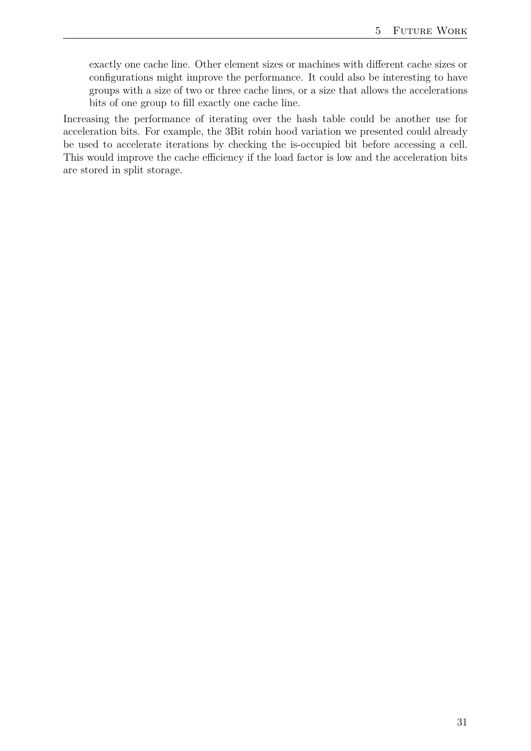exactly one cache line. Other element sizes or machines with different cache sizes or configurations might improve the performance. It could also be interesting to have groups with a size of two or three cache lines, or a size that allows the accelerations bits of one group to fill exactly one cache line.

Increasing the performance of iterating over the hash table could be another use for acceleration bits. For example, the 3Bit robin hood variation we presented could already be used to accelerate iterations by checking the is-occupied bit before accessing a cell. This would improve the cache efficiency if the load factor is low and the acceleration bits are stored in split storage.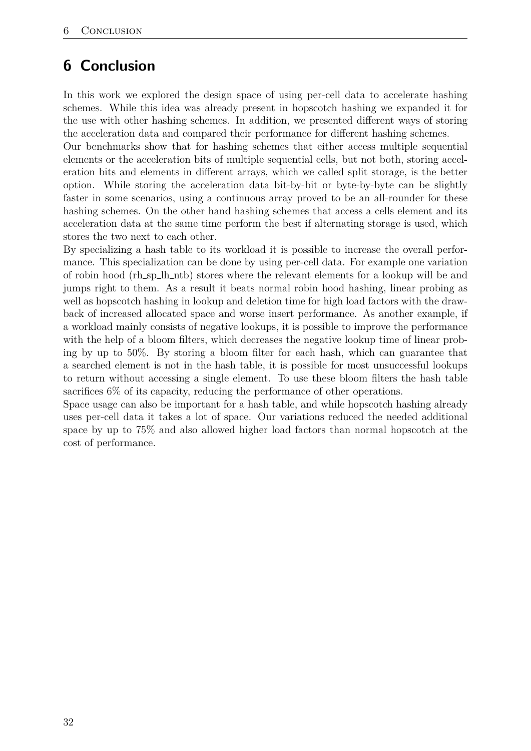# <span id="page-31-0"></span>**6 Conclusion**

In this work we explored the design space of using per-cell data to accelerate hashing schemes. While this idea was already present in hopscotch hashing we expanded it for the use with other hashing schemes. In addition, we presented different ways of storing the acceleration data and compared their performance for different hashing schemes.

Our benchmarks show that for hashing schemes that either access multiple sequential elements or the acceleration bits of multiple sequential cells, but not both, storing acceleration bits and elements in different arrays, which we called split storage, is the better option. While storing the acceleration data bit-by-bit or byte-by-byte can be slightly faster in some scenarios, using a continuous array proved to be an all-rounder for these hashing schemes. On the other hand hashing schemes that access a cells element and its acceleration data at the same time perform the best if alternating storage is used, which stores the two next to each other.

By specializing a hash table to its workload it is possible to increase the overall performance. This specialization can be done by using per-cell data. For example one variation of robin hood (rh\_sp\_lh\_ntb) stores where the relevant elements for a lookup will be and jumps right to them. As a result it beats normal robin hood hashing, linear probing as well as hopscotch hashing in lookup and deletion time for high load factors with the drawback of increased allocated space and worse insert performance. As another example, if a workload mainly consists of negative lookups, it is possible to improve the performance with the help of a bloom filters, which decreases the negative lookup time of linear probing by up to 50%. By storing a bloom filter for each hash, which can guarantee that a searched element is not in the hash table, it is possible for most unsuccessful lookups to return without accessing a single element. To use these bloom filters the hash table sacrifices 6% of its capacity, reducing the performance of other operations.

Space usage can also be important for a hash table, and while hopscotch hashing already uses per-cell data it takes a lot of space. Our variations reduced the needed additional space by up to 75% and also allowed higher load factors than normal hopscotch at the cost of performance.